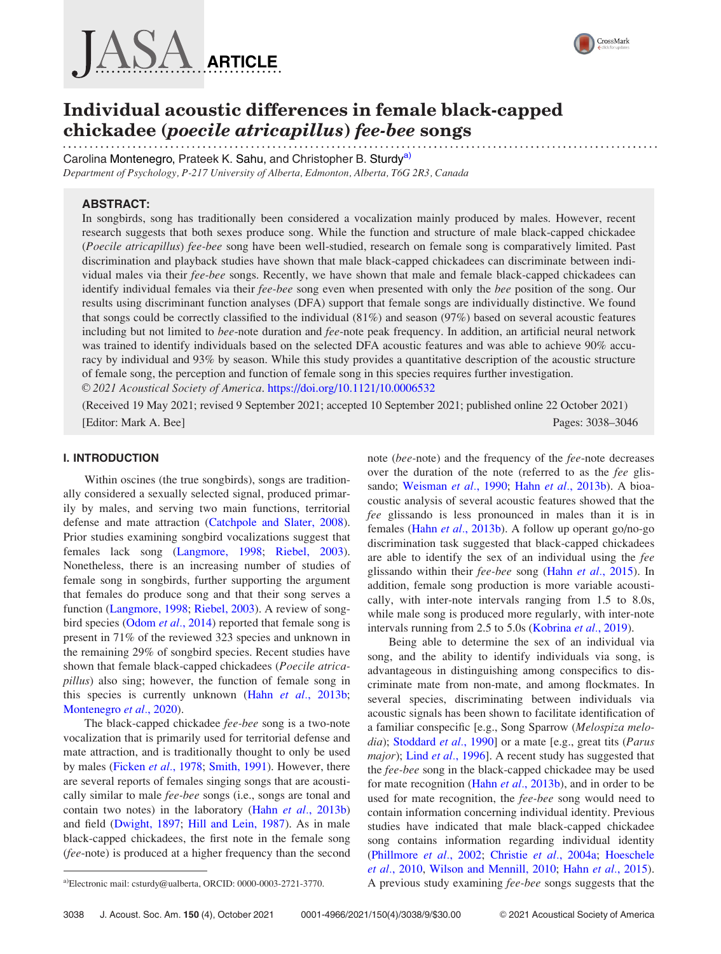



# Individual acoustic differences in female black-capped chickadee (poecile atricapillus) fee-bee songs

Carolina Montenegro, Prateek K. Sahu, and Christopher B. Sturdy<sup>a)</sup> Department of Psychology, P-217 University of Alberta, Edmonton, Alberta, T6G 2R3, Canada

# ABSTRACT:

In songbirds, song has traditionally been considered a vocalization mainly produced by males. However, recent research suggests that both sexes produce song. While the function and structure of male black-capped chickadee (Poecile atricapillus) fee-bee song have been well-studied, research on female song is comparatively limited. Past discrimination and playback studies have shown that male black-capped chickadees can discriminate between individual males via their fee-bee songs. Recently, we have shown that male and female black-capped chickadees can identify individual females via their fee-bee song even when presented with only the bee position of the song. Our results using discriminant function analyses (DFA) support that female songs are individually distinctive. We found that songs could be correctly classified to the individual (81%) and season (97%) based on several acoustic features including but not limited to bee-note duration and fee-note peak frequency. In addition, an artificial neural network was trained to identify individuals based on the selected DFA acoustic features and was able to achieve 90% accuracy by individual and 93% by season. While this study provides a quantitative description of the acoustic structure of female song, the perception and function of female song in this species requires further investigation. V<sup>C</sup> 2021 Acoustical Society of America. <https://doi.org/10.1121/10.0006532>

(Received 19 May 2021; revised 9 September 2021; accepted 10 September 2021; published online 22 October 2021) [Editor: Mark A. Bee] Pages: 3038–3046

## I. INTRODUCTION

Within oscines (the true songbirds), songs are traditionally considered a sexually selected signal, produced primarily by males, and serving two main functions, territorial defense and mate attraction [\(Catchpole and Slater, 2008\)](#page-7-0). Prior studies examining songbird vocalizations suggest that females lack song [\(Langmore, 1998;](#page-7-0) [Riebel, 2003\)](#page-7-0). Nonetheless, there is an increasing number of studies of female song in songbirds, further supporting the argument that females do produce song and that their song serves a function [\(Langmore, 1998;](#page-7-0) [Riebel, 2003](#page-7-0)). A review of song-bird species [\(Odom](#page-7-0) *et al.*, 2014) reported that female song is present in 71% of the reviewed 323 species and unknown in the remaining 29% of songbird species. Recent studies have shown that female black-capped chickadees (Poecile atricapillus) also sing; however, the function of female song in this species is currently unknown (Hahn et al.[, 2013b;](#page-7-0) [Montenegro](#page-7-0) et al., 2020).

The black-capped chickadee fee-bee song is a two-note vocalization that is primarily used for territorial defense and mate attraction, and is traditionally thought to only be used by males [\(Ficken](#page-7-0) et al., 1978; [Smith, 1991\)](#page-7-0). However, there are several reports of females singing songs that are acoustically similar to male fee-bee songs (i.e., songs are tonal and contain two notes) in the laboratory (Hahn et al.[, 2013b](#page-7-0)) and field ([Dwight, 1897](#page-7-0); [Hill and Lein, 1987](#page-7-0)). As in male black-capped chickadees, the first note in the female song (fee-note) is produced at a higher frequency than the second

note (bee-note) and the frequency of the fee-note decreases over the duration of the note (referred to as the fee glis-sando; [Weisman](#page-8-0) et al., 1990; Hahn et al.[, 2013b](#page-7-0)). A bioacoustic analysis of several acoustic features showed that the fee glissando is less pronounced in males than it is in females (Hahn et al.[, 2013b](#page-7-0)). A follow up operant go/no-go discrimination task suggested that black-capped chickadees are able to identify the sex of an individual using the fee glissando within their fee-bee song (Hahn et al.[, 2015\)](#page-7-0). In addition, female song production is more variable acoustically, with inter-note intervals ranging from 1.5 to 8.0s, while male song is produced more regularly, with inter-note intervals running from 2.5 to 5.0s [\(Kobrina](#page-7-0) et al., 2019).

Being able to determine the sex of an individual via song, and the ability to identify individuals via song, is advantageous in distinguishing among conspecifics to discriminate mate from non-mate, and among flockmates. In several species, discriminating between individuals via acoustic signals has been shown to facilitate identification of a familiar conspecific [e.g., Song Sparrow (Melospiza melo-dia); [Stoddard](#page-7-0) et al., 1990] or a mate [e.g., great tits (Parus major); Lind et al.[, 1996](#page-7-0)]. A recent study has suggested that the fee-bee song in the black-capped chickadee may be used for mate recognition (Hahn *et al.*[, 2013b\)](#page-7-0), and in order to be used for mate recognition, the *fee-bee* song would need to contain information concerning individual identity. Previous studies have indicated that male black-capped chickadee song contains information regarding individual identity [\(Phillmore](#page-7-0) et al., 2002; Christie et al.[, 2004a;](#page-7-0) [Hoeschele](#page-7-0) et al.[, 2010,](#page-7-0) [Wilson and Mennill, 2010](#page-8-0); Hahn et al.[, 2015](#page-7-0)). <sup>a)</sup>Electronic mail: [csturdy@ualberta,](mailto:csturdy@ualberta) ORCID: 0000-0003-2721-3770. A previous study examining fee-bee songs suggests that the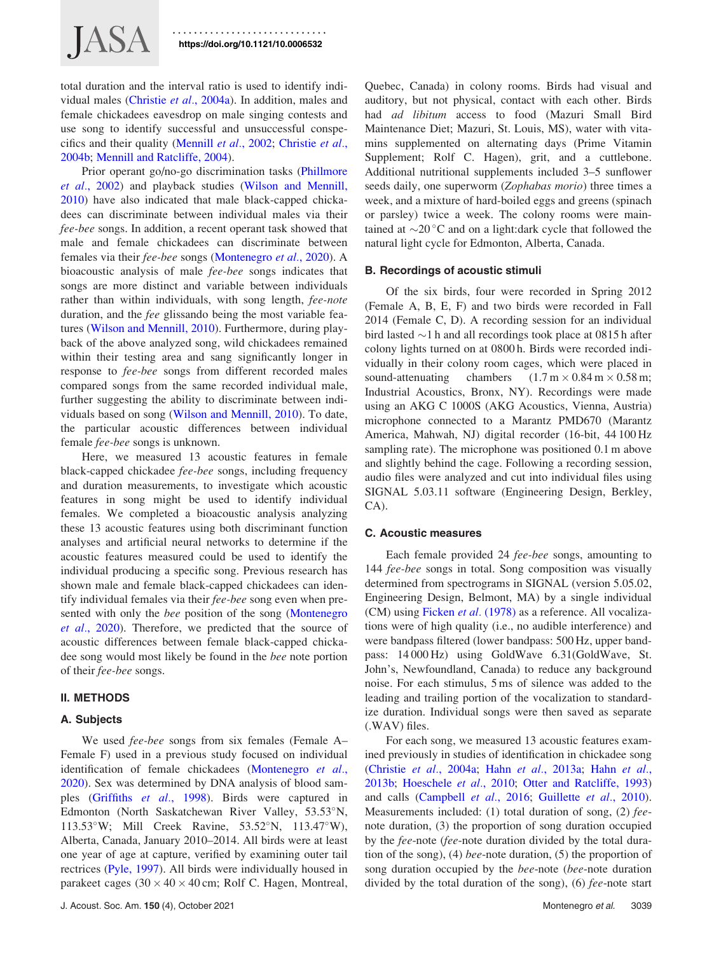total duration and the interval ratio is used to identify individual males ([Christie](#page-7-0) et al., 2004a). In addition, males and female chickadees eavesdrop on male singing contests and use song to identify successful and unsuccessful conspecifics and their quality ([Mennill](#page-7-0) et al., 2002; [Christie](#page-7-0) et al., [2004b;](#page-7-0) [Mennill and Ratcliffe, 2004](#page-7-0)).

Prior operant go/no-go discrimination tasks ([Phillmore](#page-7-0) et al.[, 2002\)](#page-7-0) and playback studies [\(Wilson and Mennill,](#page-8-0) [2010\)](#page-8-0) have also indicated that male black-capped chickadees can discriminate between individual males via their fee-bee songs. In addition, a recent operant task showed that male and female chickadees can discriminate between females via their fee-bee songs [\(Montenegro](#page-7-0) et al., 2020). A bioacoustic analysis of male fee-bee songs indicates that songs are more distinct and variable between individuals rather than within individuals, with song length, fee-note duration, and the fee glissando being the most variable features ([Wilson and Mennill, 2010](#page-8-0)). Furthermore, during playback of the above analyzed song, wild chickadees remained within their testing area and sang significantly longer in response to fee-bee songs from different recorded males compared songs from the same recorded individual male, further suggesting the ability to discriminate between individuals based on song ([Wilson and Mennill, 2010](#page-8-0)). To date, the particular acoustic differences between individual female fee-bee songs is unknown.

Here, we measured 13 acoustic features in female black-capped chickadee fee-bee songs, including frequency and duration measurements, to investigate which acoustic features in song might be used to identify individual females. We completed a bioacoustic analysis analyzing these 13 acoustic features using both discriminant function analyses and artificial neural networks to determine if the acoustic features measured could be used to identify the individual producing a specific song. Previous research has shown male and female black-capped chickadees can identify individual females via their fee-bee song even when presented with only the *bee* position of the song [\(Montenegro](#page-7-0) et al.[, 2020\)](#page-7-0). Therefore, we predicted that the source of acoustic differences between female black-capped chickadee song would most likely be found in the bee note portion of their fee-bee songs.

#### II. METHODS

#### A. Subjects

We used *fee-bee* songs from six females (Female A– Female F) used in a previous study focused on individual identification of female chickadees [\(Montenegro](#page-7-0) et al., [2020\)](#page-7-0). Sex was determined by DNA analysis of blood samples ([Griffiths](#page-7-0) et al., 1998). Birds were captured in Edmonton (North Saskatchewan River Valley, 53.53°N, 113.53°W; Mill Creek Ravine, 53.52°N, 113.47°W), Alberta, Canada, January 2010–2014. All birds were at least one year of age at capture, verified by examining outer tail rectrices ([Pyle, 1997](#page-7-0)). All birds were individually housed in parakeet cages  $(30 \times 40 \times 40 \text{ cm}$ ; Rolf C. Hagen, Montreal,

J. Acoust. Soc. Am. 150 (4), October 2021 **Montenegro et al.** 3039

Quebec, Canada) in colony rooms. Birds had visual and auditory, but not physical, contact with each other. Birds had ad libitum access to food (Mazuri Small Bird Maintenance Diet; Mazuri, St. Louis, MS), water with vitamins supplemented on alternating days (Prime Vitamin Supplement; Rolf C. Hagen), grit, and a cuttlebone. Additional nutritional supplements included 3–5 sunflower seeds daily, one superworm (Zophabas morio) three times a week, and a mixture of hard-boiled eggs and greens (spinach or parsley) twice a week. The colony rooms were maintained at  $\sim$ 20 °C and on a light:dark cycle that followed the natural light cycle for Edmonton, Alberta, Canada.

#### B. Recordings of acoustic stimuli

Of the six birds, four were recorded in Spring 2012 (Female A, B, E, F) and two birds were recorded in Fall 2014 (Female C, D). A recording session for an individual bird lasted  $\sim$ 1 h and all recordings took place at 0815 h after colony lights turned on at 0800 h. Birds were recorded individually in their colony room cages, which were placed in sound-attenuating chambers  $(1.7 \text{ m} \times 0.84 \text{ m} \times 0.58 \text{ m})$ ; Industrial Acoustics, Bronx, NY). Recordings were made using an AKG C 1000S (AKG Acoustics, Vienna, Austria) microphone connected to a Marantz PMD670 (Marantz America, Mahwah, NJ) digital recorder (16-bit, 44 100 Hz sampling rate). The microphone was positioned 0.1 m above and slightly behind the cage. Following a recording session, audio files were analyzed and cut into individual files using SIGNAL 5.03.11 software (Engineering Design, Berkley, CA).

#### C. Acoustic measures

Each female provided 24 fee-bee songs, amounting to 144 fee-bee songs in total. Song composition was visually determined from spectrograms in SIGNAL (version 5.05.02, Engineering Design, Belmont, MA) by a single individual (CM) using [Ficken](#page-7-0) et al. (1978) as a reference. All vocalizations were of high quality (i.e., no audible interference) and were bandpass filtered (lower bandpass: 500 Hz, upper bandpass: 14 000 Hz) using GoldWave 6.31(GoldWave, St. John's, Newfoundland, Canada) to reduce any background noise. For each stimulus, 5 ms of silence was added to the leading and trailing portion of the vocalization to standardize duration. Individual songs were then saved as separate (.WAV) files.

For each song, we measured 13 acoustic features examined previously in studies of identification in chickadee song (Christie et al.[, 2004a;](#page-7-0) Hahn et al.[, 2013a;](#page-7-0) Hahn [et al.](#page-7-0), [2013b;](#page-7-0) [Hoeschele](#page-7-0) et al., 2010; [Otter and Ratcliffe, 1993](#page-7-0)) and calls ([Campbell](#page-7-0) et al., 2016; [Guillette](#page-7-0) et al., 2010). Measurements included: (1) total duration of song, (2) feenote duration, (3) the proportion of song duration occupied by the fee-note (fee-note duration divided by the total duration of the song), (4) bee-note duration, (5) the proportion of song duration occupied by the *bee*-note (*bee*-note duration divided by the total duration of the song), (6) fee-note start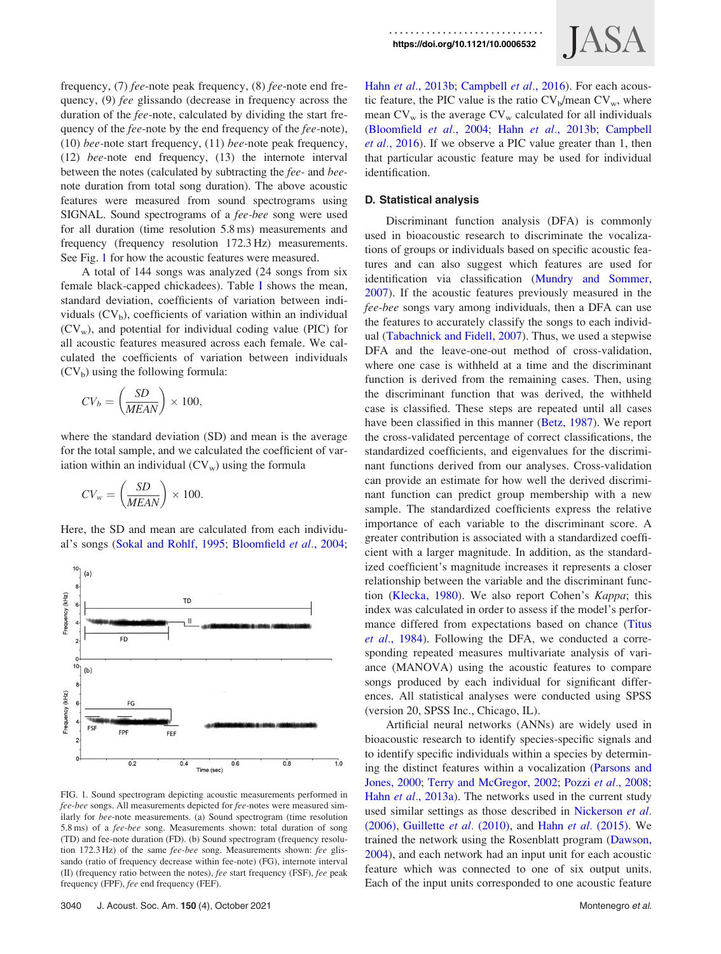frequency, (7) fee-note peak frequency, (8) fee-note end frequency, (9) fee glissando (decrease in frequency across the duration of the fee-note, calculated by dividing the start frequency of the *fee*-note by the end frequency of the *fee*-note), (10) bee-note start frequency, (11) bee-note peak frequency, (12) bee-note end frequency, (13) the internote interval between the notes (calculated by subtracting the fee- and beenote duration from total song duration). The above acoustic features were measured from sound spectrograms using SIGNAL. Sound spectrograms of a fee-bee song were used for all duration (time resolution 5.8 ms) measurements and frequency (frequency resolution 172.3 Hz) measurements. See Fig. 1 for how the acoustic features were measured.

A total of 144 songs was analyzed (24 songs from six female black-capped chickadees). Table [I](#page-3-0) shows the mean, standard deviation, coefficients of variation between individuals  $(CV_b)$ , coefficients of variation within an individual  $(CV_w)$ , and potential for individual coding value (PIC) for all acoustic features measured across each female. We calculated the coefficients of variation between individuals  $(CV_b)$  using the following formula:

$$
CV_b = \left(\frac{SD}{MEAN}\right) \times 100,
$$

where the standard deviation (SD) and mean is the average for the total sample, and we calculated the coefficient of variation within an individual  $(CV_w)$  using the formula

$$
CV_w = \left(\frac{SD}{MEAN}\right) \times 100.
$$

Here, the SD and mean are calculated from each individual's songs ([Sokal and Rohlf, 1995](#page-7-0); [Bloomfield](#page-7-0) et al., 2004;



FIG. 1. Sound spectrogram depicting acoustic measurements performed in fee-bee songs. All measurements depicted for fee-notes were measured similarly for bee-note measurements. (a) Sound spectrogram (time resolution 5.8 ms) of a fee-bee song. Measurements shown: total duration of song (TD) and fee-note duration (FD). (b) Sound spectrogram (frequency resolution 172.3 Hz) of the same fee-bee song. Measurements shown: fee glissando (ratio of frequency decrease within fee-note) (FG), internote interval (II) (frequency ratio between the notes), fee start frequency (FSF), fee peak frequency (FPF), fee end frequency (FEF).



Hahn et al.[, 2013b;](#page-7-0) [Campbell](#page-7-0) et al., 2016). For each acoustic feature, the PIC value is the ratio  $CV_b/mean CV_w$ , where mean  $CV_w$  is the average  $CV_w$  calculated for all individuals [\(Bloomfield](#page-7-0) et al., 2004; Hahn et al.[, 2013b](#page-7-0); [Campbell](#page-7-0) et al.[, 2016](#page-7-0)). If we observe a PIC value greater than 1, then that particular acoustic feature may be used for individual identification.

#### D. Statistical analysis

Discriminant function analysis (DFA) is commonly used in bioacoustic research to discriminate the vocalizations of groups or individuals based on specific acoustic features and can also suggest which features are used for identification via classification ([Mundry and Sommer,](#page-7-0) [2007\)](#page-7-0). If the acoustic features previously measured in the fee-bee songs vary among individuals, then a DFA can use the features to accurately classify the songs to each individual [\(Tabachnick and Fidell, 2007](#page-7-0)). Thus, we used a stepwise DFA and the leave-one-out method of cross-validation, where one case is withheld at a time and the discriminant function is derived from the remaining cases. Then, using the discriminant function that was derived, the withheld case is classified. These steps are repeated until all cases have been classified in this manner ([Betz, 1987\)](#page-7-0). We report the cross-validated percentage of correct classifications, the standardized coefficients, and eigenvalues for the discriminant functions derived from our analyses. Cross-validation can provide an estimate for how well the derived discriminant function can predict group membership with a new sample. The standardized coefficients express the relative importance of each variable to the discriminant score. A greater contribution is associated with a standardized coefficient with a larger magnitude. In addition, as the standardized coefficient's magnitude increases it represents a closer relationship between the variable and the discriminant function [\(Klecka, 1980\)](#page-7-0). We also report Cohen's Kappa; this index was calculated in order to assess if the model's performance differed from expectations based on chance ([Titus](#page-7-0) et al.[, 1984\)](#page-7-0). Following the DFA, we conducted a corresponding repeated measures multivariate analysis of variance (MANOVA) using the acoustic features to compare songs produced by each individual for significant differences. All statistical analyses were conducted using SPSS (version 20, SPSS Inc., Chicago, IL).

Artificial neural networks (ANNs) are widely used in bioacoustic research to identify species-specific signals and to identify specific individuals within a species by determining the distinct features within a vocalization [\(Parsons and](#page-7-0) [Jones, 2000;](#page-7-0) [Terry and McGregor, 2002](#page-7-0); Pozzi et al.[, 2008;](#page-7-0) Hahn et al.[, 2013a](#page-7-0)). The networks used in the current study used similar settings as those described in [Nickerson](#page-7-0) et al. [\(2006\),](#page-7-0) [Guillette](#page-7-0) et al. (2010), and Hahn et al. [\(2015\).](#page-7-0) We trained the network using the Rosenblatt program [\(Dawson,](#page-7-0) [2004\)](#page-7-0), and each network had an input unit for each acoustic feature which was connected to one of six output units. Each of the input units corresponded to one acoustic feature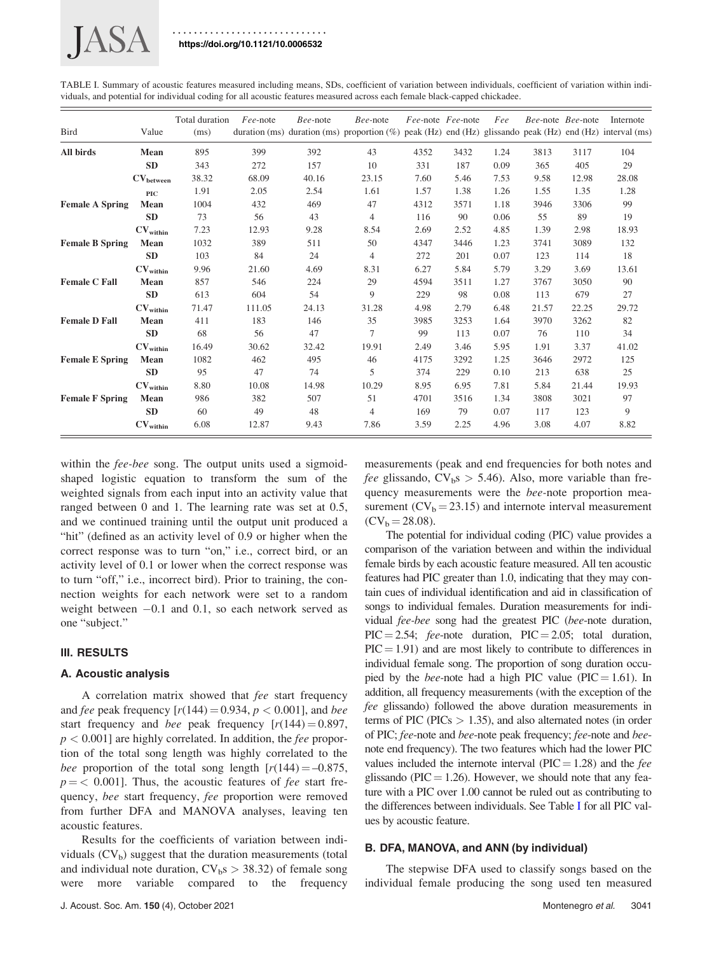<span id="page-3-0"></span>

TABLE I. Summary of acoustic features measured including means, SDs, coefficient of variation between individuals, coefficient of variation within individuals, and potential for individual coding for all acoustic features measured across each female black-capped chickadee.

| <b>Bird</b>            | Value                          | Total duration<br>(ms) | Fee-note | Bee-note | Bee-note<br>duration (ms) duration (ms) proportion (%) peak (Hz) end (Hz) glissando peak (Hz) end (Hz) interval (ms) | Fee-note Fee-note |      | Fee  |       | Bee-note Bee-note | Internote |
|------------------------|--------------------------------|------------------------|----------|----------|----------------------------------------------------------------------------------------------------------------------|-------------------|------|------|-------|-------------------|-----------|
| All birds              | Mean                           | 895                    | 399      | 392      | 43                                                                                                                   | 4352              | 3432 | 1.24 | 3813  | 3117              | 104       |
|                        | <b>SD</b>                      | 343                    | 272      | 157      | 10                                                                                                                   | 331               | 187  | 0.09 | 365   | 405               | 29        |
|                        | $\mathrm{CV}_\mathrm{between}$ | 38.32                  | 68.09    | 40.16    | 23.15                                                                                                                | 7.60              | 5.46 | 7.53 | 9.58  | 12.98             | 28.08     |
|                        | <b>PIC</b>                     | 1.91                   | 2.05     | 2.54     | 1.61                                                                                                                 | 1.57              | 1.38 | 1.26 | 1.55  | 1.35              | 1.28      |
| <b>Female A Spring</b> | Mean                           | 1004                   | 432      | 469      | 47                                                                                                                   | 4312              | 3571 | 1.18 | 3946  | 3306              | 99        |
|                        | <b>SD</b>                      | 73                     | 56       | 43       | $\overline{4}$                                                                                                       | 116               | 90   | 0.06 | 55    | 89                | 19        |
|                        | $\mathrm{CV}_\mathrm{within}$  | 7.23                   | 12.93    | 9.28     | 8.54                                                                                                                 | 2.69              | 2.52 | 4.85 | 1.39  | 2.98              | 18.93     |
| <b>Female B Spring</b> | Mean                           | 1032                   | 389      | 511      | 50                                                                                                                   | 4347              | 3446 | 1.23 | 3741  | 3089              | 132       |
|                        | <b>SD</b>                      | 103                    | 84       | 24       | $\overline{4}$                                                                                                       | 272               | 201  | 0.07 | 123   | 114               | 18        |
|                        | CV <sub>within</sub>           | 9.96                   | 21.60    | 4.69     | 8.31                                                                                                                 | 6.27              | 5.84 | 5.79 | 3.29  | 3.69              | 13.61     |
| <b>Female C Fall</b>   | Mean                           | 857                    | 546      | 224      | 29                                                                                                                   | 4594              | 3511 | 1.27 | 3767  | 3050              | 90        |
|                        | <b>SD</b>                      | 613                    | 604      | 54       | 9                                                                                                                    | 229               | 98   | 0.08 | 113   | 679               | 27        |
|                        | $\mathrm{CV}_\mathrm{within}$  | 71.47                  | 111.05   | 24.13    | 31.28                                                                                                                | 4.98              | 2.79 | 6.48 | 21.57 | 22.25             | 29.72     |
| <b>Female D Fall</b>   | Mean                           | 411                    | 183      | 146      | 35                                                                                                                   | 3985              | 3253 | 1.64 | 3970  | 3262              | 82        |
|                        | <b>SD</b>                      | 68                     | 56       | 47       | 7                                                                                                                    | 99                | 113  | 0.07 | 76    | 110               | 34        |
|                        | $\mathrm{CV}_\mathrm{within}$  | 16.49                  | 30.62    | 32.42    | 19.91                                                                                                                | 2.49              | 3.46 | 5.95 | 1.91  | 3.37              | 41.02     |
| <b>Female E Spring</b> | Mean                           | 1082                   | 462      | 495      | 46                                                                                                                   | 4175              | 3292 | 1.25 | 3646  | 2972              | 125       |
|                        | <b>SD</b>                      | 95                     | 47       | 74       | 5                                                                                                                    | 374               | 229  | 0.10 | 213   | 638               | 25        |
|                        | $\mathrm{CV}_\mathrm{within}$  | 8.80                   | 10.08    | 14.98    | 10.29                                                                                                                | 8.95              | 6.95 | 7.81 | 5.84  | 21.44             | 19.93     |
| <b>Female F Spring</b> | Mean                           | 986                    | 382      | 507      | 51                                                                                                                   | 4701              | 3516 | 1.34 | 3808  | 3021              | 97        |
|                        | <b>SD</b>                      | 60                     | 49       | 48       | $\overline{4}$                                                                                                       | 169               | 79   | 0.07 | 117   | 123               | 9         |
|                        | $\mathrm{CV}_\mathrm{within}$  | 6.08                   | 12.87    | 9.43     | 7.86                                                                                                                 | 3.59              | 2.25 | 4.96 | 3.08  | 4.07              | 8.82      |

within the *fee-bee* song. The output units used a sigmoidshaped logistic equation to transform the sum of the weighted signals from each input into an activity value that ranged between 0 and 1. The learning rate was set at 0.5, and we continued training until the output unit produced a "hit" (defined as an activity level of 0.9 or higher when the correct response was to turn "on," i.e., correct bird, or an activity level of 0.1 or lower when the correct response was to turn "off," i.e., incorrect bird). Prior to training, the connection weights for each network were set to a random weight between  $-0.1$  and 0.1, so each network served as one "subject."

# III. RESULTS

#### A. Acoustic analysis

A correlation matrix showed that fee start frequency and fee peak frequency  $[r(144) = 0.934, p < 0.001]$ , and bee start frequency and *bee* peak frequency  $[r(144) = 0.897]$ ,  $p < 0.001$ ] are highly correlated. In addition, the *fee* proportion of the total song length was highly correlated to the bee proportion of the total song length  $[r(144) = -0.875,$  $p = < 0.001$ . Thus, the acoustic features of *fee* start frequency, bee start frequency, fee proportion were removed from further DFA and MANOVA analyses, leaving ten acoustic features.

Results for the coefficients of variation between individuals  $(CV_b)$  suggest that the duration measurements (total and individual note duration,  $CV<sub>b</sub>s > 38.32$  of female song were more variable compared to the frequency

measurements (peak and end frequencies for both notes and *fee* glissando,  $CV_b s > 5.46$ . Also, more variable than frequency measurements were the bee-note proportion measurement  $(CV_b = 23.15)$  and internote interval measurement  $(CV_b = 28.08)$ .

The potential for individual coding (PIC) value provides a comparison of the variation between and within the individual female birds by each acoustic feature measured. All ten acoustic features had PIC greater than 1.0, indicating that they may contain cues of individual identification and aid in classification of songs to individual females. Duration measurements for individual *fee-bee* song had the greatest PIC (bee-note duration,  $\text{PIC} = 2.54$ ; fee-note duration,  $\text{PIC} = 2.05$ ; total duration,  $\text{PIC} = 1.91$ ) and are most likely to contribute to differences in individual female song. The proportion of song duration occupied by the *bee*-note had a high PIC value (PIC = 1.61). In addition, all frequency measurements (with the exception of the fee glissando) followed the above duration measurements in terms of PIC (PICs  $> 1.35$ ), and also alternated notes (in order of PIC; fee-note and bee-note peak frequency; fee-note and beenote end frequency). The two features which had the lower PIC values included the internote interval ( $\text{PIC} = 1.28$ ) and the *fee* glissando (PIC = 1.26). However, we should note that any feature with a PIC over 1.00 cannot be ruled out as contributing to the differences between individuals. See Table I for all PIC values by acoustic feature.

# B. DFA, MANOVA, and ANN (by individual)

The stepwise DFA used to classify songs based on the individual female producing the song used ten measured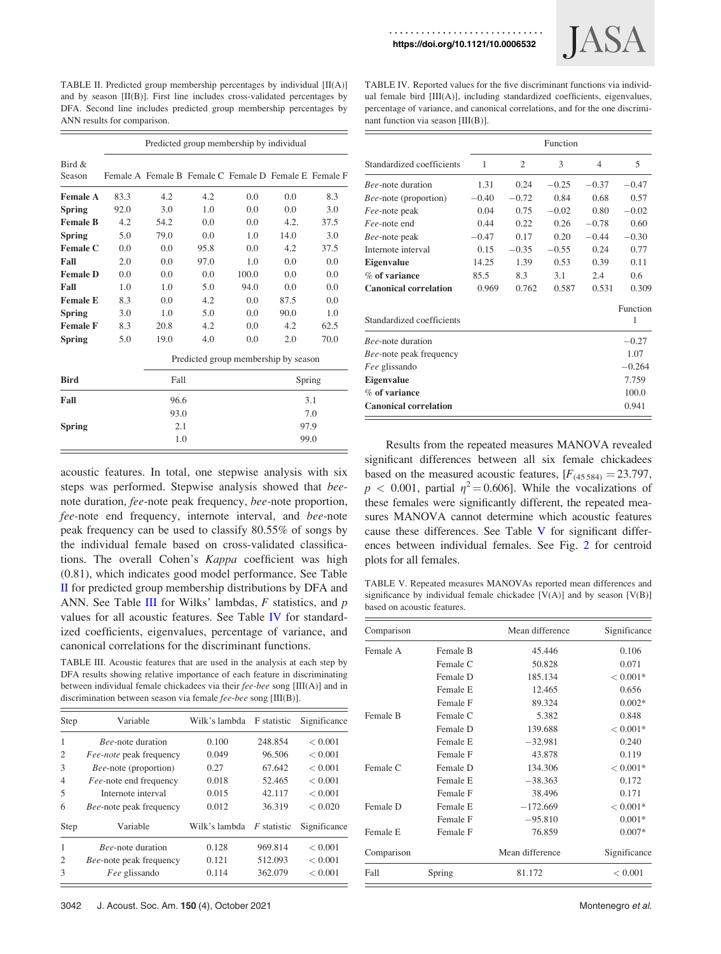<https://doi.org/10.1121/10.0006532>



<span id="page-4-0"></span>TABLE II. Predicted group membership percentages by individual [II(A)] and by season [II(B)]. First line includes cross-validated percentages by DFA. Second line includes predicted group membership percentages by ANN results for comparison.

Predicted group membership by individual Bird & Season Female A Female B Female C Female D Female E Female F Female A 83.3 4.2 4.2 0.0 0.0 8.3 Spring 92.0 3.0 1.0 0.0 0.0 3.0 Female B 4.2 54.2 0.0 0.0 4.2. 37.5 **Spring** 5.0 79.0 0.0 1.0 14.0 3.0 Female C 0.0 0.0 95.8 0.0 4.2 37.5 Fall 2.0 0.0 97.0 1.0 0.0 0.0 **Female D** 0.0 0.0 0.0 100.0 0.0 0.0 **Fall** 1.0 1.0 5.0 94.0 0.0 0.0 **Female E** 8.3 0.0 4.2 0.0 87.5 0.0 **Spring** 3.0 1.0 5.0 0.0 90.0 1.0 Female F 8.3 20.8 4.2 0.0 4.2 62.5 **Spring** 5.0 19.0 4.0 0.0 2.0 70.0 Predicted group membership by season Bird Fall Spring **Fall** 96.6 3.1 93.0 7.0  $Spring$  2.1 97.9 1.0 99.0

acoustic features. In total, one stepwise analysis with six steps was performed. Stepwise analysis showed that beenote duration, fee-note peak frequency, bee-note proportion, fee-note end frequency, internote interval, and bee-note peak frequency can be used to classify 80.55% of songs by the individual female based on cross-validated classifications. The overall Cohen's Kappa coefficient was high (0.81), which indicates good model performance. See Table II for predicted group membership distributions by DFA and ANN. See Table III for Wilks' lambdas,  $F$  statistics, and  $p$ values for all acoustic features. See Table IV for standardized coefficients, eigenvalues, percentage of variance, and canonical correlations for the discriminant functions.

TABLE III. Acoustic features that are used in the analysis at each step by DFA results showing relative importance of each feature in discriminating between individual female chickadees via their fee-bee song [III(A)] and in discrimination between season via female fee-bee song [III(B)].

| Step           | Variable                       | Wilk's lambda | F statistic        | Significance |  |
|----------------|--------------------------------|---------------|--------------------|--------------|--|
| 1              | <i>Bee-note duration</i>       | 0.100         | 248.854            | < 0.001      |  |
| 2              | Fee-note peak frequency        | 0.049         | 96.506             | < 0.001      |  |
| 3              | <i>Bee-note</i> (proportion)   | 0.27          | 67.642             | < 0.001      |  |
| 4              | <i>Fee-note end frequency</i>  | 0.018         | 52.465             | < 0.001      |  |
| 5              | Internote interval             | 0.015         | 42.117             | < 0.001      |  |
| 6              | <i>Bee-note</i> peak frequency | 0.012         | 36.319             | < 0.020      |  |
| <b>Step</b>    | Variable                       | Wilk's lambda | <i>F</i> statistic | Significance |  |
| 1              | <i>Bee-note</i> duration       | 0.128         | 969.814            | < 0.001      |  |
| $\mathfrak{D}$ | <i>Bee-note</i> peak frequency | 0.121         | 512.093            | < 0.001      |  |
| 3              | Fee glissando                  | 0.114         | 362.079            | < 0.001      |  |

TABLE IV. Reported values for the five discriminant functions via individual female bird [III(A)], including standardized coefficients, eigenvalues, percentage of variance, and canonical correlations, and for the one discriminant function via season [III(B)].

|                                | Function |                |         |         |               |
|--------------------------------|----------|----------------|---------|---------|---------------|
| Standardized coefficients      | 1        | $\overline{c}$ | 3       | 4       | 5             |
| <i>Bee-note</i> duration       | 1.31     | 0.24           | $-0.25$ | $-0.37$ | $-0.47$       |
| <i>Bee-note</i> (proportion)   | $-0.40$  | $-0.72$        | 0.84    | 0.68    | 0.57          |
| Fee-note peak                  | 0.04     | 0.75           | $-0.02$ | 0.80    | $-0.02$       |
| <i>Fee</i> -note end           | 0.44     | 0.22           | 0.26    | $-0.78$ | 0.60          |
| <i>Bee-note</i> peak           | $-0.47$  | 0.17           | 0.20    | $-0.44$ | $-0.30$       |
| Internote interval             | 0.15     | $-0.35$        | $-0.55$ | 0.24    | 0.77          |
| <b>Eigenvalue</b>              | 14.25    | 1.39           | 0.53    | 0.39    | 0.11          |
| % of variance                  | 85.5     | 8.3            | 3.1     | 2.4     | 0.6           |
| <b>Canonical correlation</b>   | 0.969    | 0.762          | 0.587   | 0.531   | 0.309         |
| Standardized coefficients      |          |                |         |         | Function<br>1 |
| <i>Bee</i> -note duration      |          |                |         |         | $-0.27$       |
| <i>Bee-note</i> peak frequency |          |                |         |         | 1.07          |
| Fee glissando                  |          |                |         |         | $-0.264$      |
| <b>Eigenvalue</b>              |          |                |         |         | 7.759         |
| % of variance                  |          |                |         |         | 100.0         |
| <b>Canonical correlation</b>   |          |                |         |         | 0.941         |

Results from the repeated measures MANOVA revealed significant differences between all six female chickadees based on the measured acoustic features,  $[F_{(45584)} = 23.797$ ,  $p < 0.001$ , partial  $\eta^2 = 0.606$ . While the vocalizations of these females were significantly different, the repeated measures MANOVA cannot determine which acoustic features cause these differences. See Table V for significant differences between individual females. See Fig. [2](#page-5-0) for centroid plots for all females.

TABLE V. Repeated measures MANOVAs reported mean differences and significance by individual female chickadee  $[V(A)]$  and by season  $[V(B)]$ based on acoustic features.

| Comparison |          | Mean difference | Significance |
|------------|----------|-----------------|--------------|
| Female A   | Female B | 45.446          | 0.106        |
|            | Female C | 50.828          | 0.071        |
|            | Female D | 185.134         | $< 0.001*$   |
|            | Female E | 12.465          | 0.656        |
|            | Female F | 89.324          | $0.002*$     |
| Female B   | Female C | 5.382           | 0.848        |
|            | Female D | 139.688         | $< 0.001*$   |
|            | Female E | $-32.981$       | 0.240        |
|            | Female F | 43.878          | 0.119        |
| Female C   | Female D | 134.306         | $< 0.001*$   |
|            | Female E | $-38.363$       | 0.172        |
|            | Female F | 38.496          | 0.171        |
| Female D   | Female E | $-172.669$      | $< 0.001*$   |
|            | Female F | $-95.810$       | $0.001*$     |
| Female E   | Female F | 76.859          | $0.007*$     |
| Comparison |          | Mean difference | Significance |
| Fall       | Spring   | 81.172          | < 0.001      |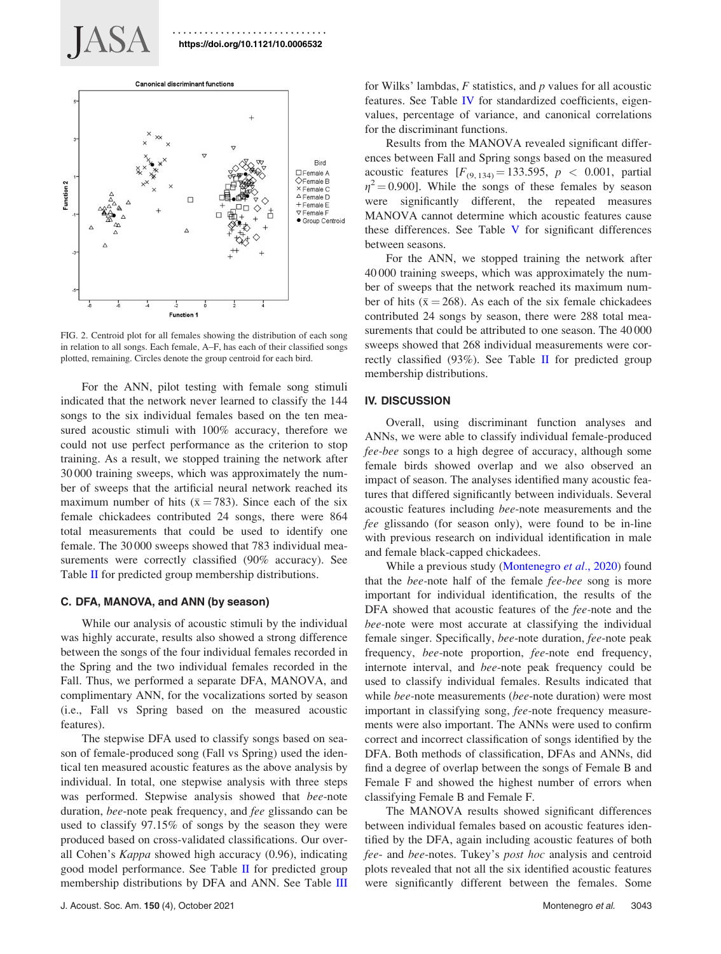<span id="page-5-0"></span>JASA



FIG. 2. Centroid plot for all females showing the distribution of each song in relation to all songs. Each female, A–F, has each of their classified songs plotted, remaining. Circles denote the group centroid for each bird.

For the ANN, pilot testing with female song stimuli indicated that the network never learned to classify the 144 songs to the six individual females based on the ten measured acoustic stimuli with 100% accuracy, therefore we could not use perfect performance as the criterion to stop training. As a result, we stopped training the network after 30 000 training sweeps, which was approximately the number of sweeps that the artificial neural network reached its maximum number of hits ( $\bar{x} = 783$ ). Since each of the six female chickadees contributed 24 songs, there were 864 total measurements that could be used to identify one female. The 30 000 sweeps showed that 783 individual measurements were correctly classified (90% accuracy). See Table [II](#page-4-0) for predicted group membership distributions.

# C. DFA, MANOVA, and ANN (by season)

While our analysis of acoustic stimuli by the individual was highly accurate, results also showed a strong difference between the songs of the four individual females recorded in the Spring and the two individual females recorded in the Fall. Thus, we performed a separate DFA, MANOVA, and complimentary ANN, for the vocalizations sorted by season (i.e., Fall vs Spring based on the measured acoustic features).

The stepwise DFA used to classify songs based on season of female-produced song (Fall vs Spring) used the identical ten measured acoustic features as the above analysis by individual. In total, one stepwise analysis with three steps was performed. Stepwise analysis showed that bee-note duration, bee-note peak frequency, and fee glissando can be used to classify 97.15% of songs by the season they were produced based on cross-validated classifications. Our overall Cohen's Kappa showed high accuracy (0.96), indicating good model performance. See Table [II](#page-4-0) for predicted group membership distributions by DFA and ANN. See Table [III](#page-4-0)

for Wilks' lambdas,  $F$  statistics, and  $p$  values for all acoustic features. See Table [IV](#page-4-0) for standardized coefficients, eigenvalues, percentage of variance, and canonical correlations for the discriminant functions.

Results from the MANOVA revealed significant differences between Fall and Spring songs based on the measured acoustic features  $[F_{(9, 134)} = 133.595, p < 0.001,$  partial  $\eta^2$  = 0.900]. While the songs of these females by season were significantly different, the repeated measures MANOVA cannot determine which acoustic features cause these differences. See Table [V](#page-4-0) for significant differences between seasons.

For the ANN, we stopped training the network after 40 000 training sweeps, which was approximately the number of sweeps that the network reached its maximum number of hits ( $\bar{x} = 268$ ). As each of the six female chickadees contributed 24 songs by season, there were 288 total measurements that could be attributed to one season. The 40000 sweeps showed that 268 individual measurements were correctly classified  $(93\%)$ . See Table [II](#page-4-0) for predicted group membership distributions.

## IV. DISCUSSION

Overall, using discriminant function analyses and ANNs, we were able to classify individual female-produced fee-bee songs to a high degree of accuracy, although some female birds showed overlap and we also observed an impact of season. The analyses identified many acoustic features that differed significantly between individuals. Several acoustic features including bee-note measurements and the fee glissando (for season only), were found to be in-line with previous research on individual identification in male and female black-capped chickadees.

While a previous study [\(Montenegro](#page-7-0) et al., 2020) found that the bee-note half of the female fee-bee song is more important for individual identification, the results of the DFA showed that acoustic features of the fee-note and the bee-note were most accurate at classifying the individual female singer. Specifically, *bee*-note duration, *fee*-note peak frequency, bee-note proportion, fee-note end frequency, internote interval, and bee-note peak frequency could be used to classify individual females. Results indicated that while *bee*-note measurements (*bee*-note duration) were most important in classifying song, fee-note frequency measurements were also important. The ANNs were used to confirm correct and incorrect classification of songs identified by the DFA. Both methods of classification, DFAs and ANNs, did find a degree of overlap between the songs of Female B and Female F and showed the highest number of errors when classifying Female B and Female F.

The MANOVA results showed significant differences between individual females based on acoustic features identified by the DFA, again including acoustic features of both fee- and bee-notes. Tukey's post hoc analysis and centroid plots revealed that not all the six identified acoustic features were significantly different between the females. Some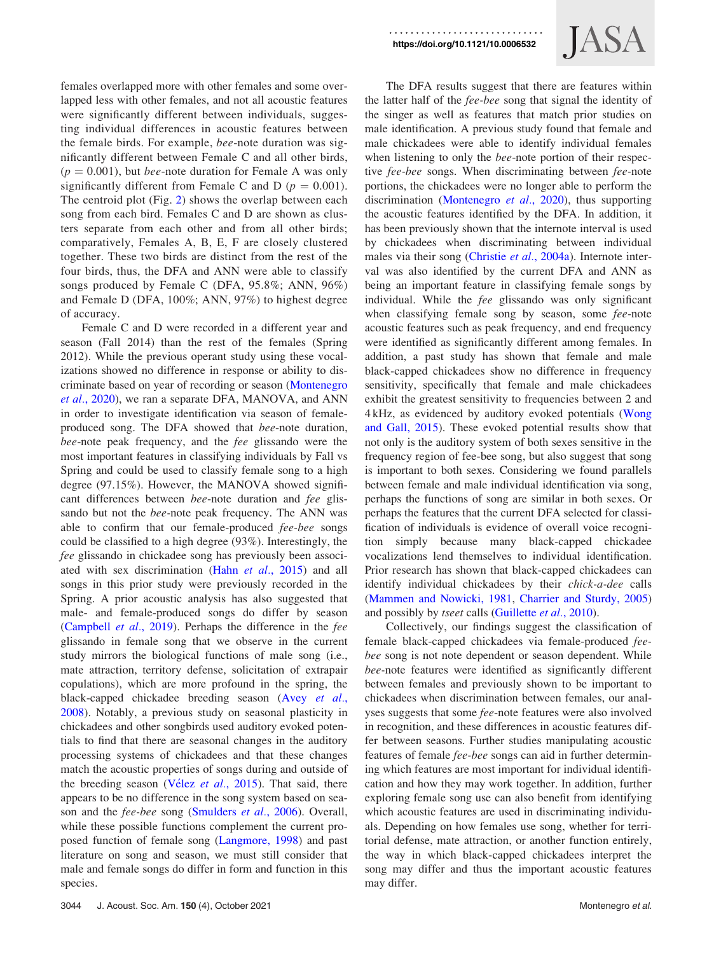females overlapped more with other females and some overlapped less with other females, and not all acoustic features were significantly different between individuals, suggesting individual differences in acoustic features between the female birds. For example, bee-note duration was significantly different between Female C and all other birds,  $(p = 0.001)$ , but *bee*-note duration for Female A was only significantly different from Female C and D ( $p = 0.001$ ). The centroid plot (Fig. [2](#page-5-0)) shows the overlap between each song from each bird. Females C and D are shown as clusters separate from each other and from all other birds; comparatively, Females A, B, E, F are closely clustered together. These two birds are distinct from the rest of the four birds, thus, the DFA and ANN were able to classify songs produced by Female C (DFA, 95.8%; ANN, 96%) and Female D (DFA, 100%; ANN, 97%) to highest degree of accuracy.

Female C and D were recorded in a different year and season (Fall 2014) than the rest of the females (Spring 2012). While the previous operant study using these vocalizations showed no difference in response or ability to discriminate based on year of recording or season [\(Montenegro](#page-7-0) et al.[, 2020\)](#page-7-0), we ran a separate DFA, MANOVA, and ANN in order to investigate identification via season of femaleproduced song. The DFA showed that bee-note duration, bee-note peak frequency, and the fee glissando were the most important features in classifying individuals by Fall vs Spring and could be used to classify female song to a high degree (97.15%). However, the MANOVA showed significant differences between bee-note duration and fee glissando but not the bee-note peak frequency. The ANN was able to confirm that our female-produced fee-bee songs could be classified to a high degree (93%). Interestingly, the fee glissando in chickadee song has previously been associ-ated with sex discrimination (Hahn et al.[, 2015](#page-7-0)) and all songs in this prior study were previously recorded in the Spring. A prior acoustic analysis has also suggested that male- and female-produced songs do differ by season ([Campbell](#page-7-0) et al., 2019). Perhaps the difference in the fee glissando in female song that we observe in the current study mirrors the biological functions of male song (i.e., mate attraction, territory defense, solicitation of extrapair copulations), which are more profound in the spring, the black-capped chickadee breeding season (Avey [et al.](#page-7-0), [2008\)](#page-7-0). Notably, a previous study on seasonal plasticity in chickadees and other songbirds used auditory evoked potentials to find that there are seasonal changes in the auditory processing systems of chickadees and that these changes match the acoustic properties of songs during and outside of the breeding season [\(V](#page-8-0)élez et al.[, 2015](#page-8-0)). That said, there appears to be no difference in the song system based on season and the *fee-bee* song [\(Smulders](#page-7-0) et al., 2006). Overall, while these possible functions complement the current proposed function of female song ([Langmore, 1998](#page-7-0)) and past literature on song and season, we must still consider that male and female songs do differ in form and function in this species.

<https://doi.org/10.1121/10.0006532>



The DFA results suggest that there are features within the latter half of the fee-bee song that signal the identity of the singer as well as features that match prior studies on male identification. A previous study found that female and male chickadees were able to identify individual females when listening to only the bee-note portion of their respective fee-bee songs. When discriminating between fee-note portions, the chickadees were no longer able to perform the discrimination ([Montenegro](#page-7-0) et al., 2020), thus supporting the acoustic features identified by the DFA. In addition, it has been previously shown that the internote interval is used by chickadees when discriminating between individual males via their song [\(Christie](#page-7-0) et al., 2004a). Internote interval was also identified by the current DFA and ANN as being an important feature in classifying female songs by individual. While the fee glissando was only significant when classifying female song by season, some *fee*-note acoustic features such as peak frequency, and end frequency were identified as significantly different among females. In addition, a past study has shown that female and male black-capped chickadees show no difference in frequency sensitivity, specifically that female and male chickadees exhibit the greatest sensitivity to frequencies between 2 and 4 kHz, as evidenced by auditory evoked potentials [\(Wong](#page-8-0) [and Gall, 2015](#page-8-0)). These evoked potential results show that not only is the auditory system of both sexes sensitive in the frequency region of fee-bee song, but also suggest that song is important to both sexes. Considering we found parallels between female and male individual identification via song, perhaps the functions of song are similar in both sexes. Or perhaps the features that the current DFA selected for classification of individuals is evidence of overall voice recognition simply because many black-capped chickadee vocalizations lend themselves to individual identification. Prior research has shown that black-capped chickadees can identify individual chickadees by their chick-a-dee calls [\(Mammen and Nowicki, 1981,](#page-7-0) [Charrier and Sturdy, 2005](#page-7-0)) and possibly by *tseet* calls [\(Guillette](#page-7-0) *et al.*, 2010).

Collectively, our findings suggest the classification of female black-capped chickadees via female-produced feebee song is not note dependent or season dependent. While bee-note features were identified as significantly different between females and previously shown to be important to chickadees when discrimination between females, our analyses suggests that some fee-note features were also involved in recognition, and these differences in acoustic features differ between seasons. Further studies manipulating acoustic features of female fee-bee songs can aid in further determining which features are most important for individual identification and how they may work together. In addition, further exploring female song use can also benefit from identifying which acoustic features are used in discriminating individuals. Depending on how females use song, whether for territorial defense, mate attraction, or another function entirely, the way in which black-capped chickadees interpret the song may differ and thus the important acoustic features may differ.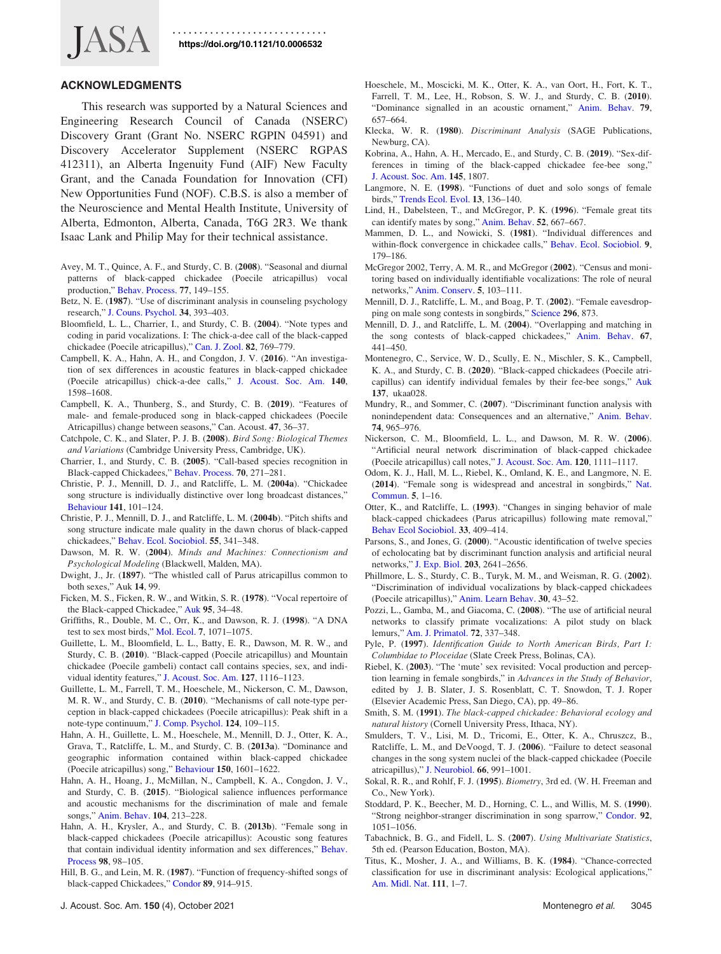<span id="page-7-0"></span>

### ACKNOWLEDGMENTS

This research was supported by a Natural Sciences and Engineering Research Council of Canada (NSERC) Discovery Grant (Grant No. NSERC RGPIN 04591) and Discovery Accelerator Supplement (NSERC RGPAS 412311), an Alberta Ingenuity Fund (AIF) New Faculty Grant, and the Canada Foundation for Innovation (CFI) New Opportunities Fund (NOF). C.B.S. is also a member of the Neuroscience and Mental Health Institute, University of Alberta, Edmonton, Alberta, Canada, T6G 2R3. We thank Isaac Lank and Philip May for their technical assistance.

- Avey, M. T., Quince, A. F., and Sturdy, C. B. (2008). "Seasonal and diurnal patterns of black-capped chickadee (Poecile atricapillus) vocal production," [Behav. Process.](https://doi.org/10.1016/j.beproc.2007.12.004) 77, 149–155.
- Betz, N. E. (1987). "Use of discriminant analysis in counseling psychology research," [J. Couns. Psychol.](https://doi.org/10.1037/0022-0167.34.4.393) 34, 393–403.
- Bloomfield, L. L., Charrier, I., and Sturdy, C. B. (2004). "Note types and coding in parid vocalizations. I: The chick-a-dee call of the black-capped chickadee (Poecile atricapillus)," [Can. J. Zool.](https://doi.org/10.1139/z04-045) 82, 769–779.
- Campbell, K. A., Hahn, A. H., and Congdon, J. V. (2016). "An investigation of sex differences in acoustic features in black-capped chickadee (Poecile atricapillus) chick-a-dee calls," [J. Acoust. Soc. Am.](https://doi.org/10.1121/1.4962281) 140, 1598–1608.
- Campbell, K. A., Thunberg, S., and Sturdy, C. B. (2019). "Features of male- and female-produced song in black-capped chickadees (Poecile Atricapillus) change between seasons," Can. Acoust. 47, 36–37.
- Catchpole, C. K., and Slater, P. J. B. (2008). Bird Song: Biological Themes and Variations (Cambridge University Press, Cambridge, UK).
- Charrier, I., and Sturdy, C. B. (2005). "Call-based species recognition in Black-capped Chickadees," [Behav. Process.](https://doi.org/10.1016/j.beproc.2005.07.007) 70, 271–281.
- Christie, P. J., Mennill, D. J., and Ratcliffe, L. M. (2004a). "Chickadee song structure is individually distinctive over long broadcast distances," [Behaviour](https://doi.org/10.1163/156853904772746628) 141, 101–124.
- Christie, P. J., Mennill, D. J., and Ratcliffe, L. M. (2004b). "Pitch shifts and song structure indicate male quality in the dawn chorus of black-capped chickadees," [Behav. Ecol. Sociobiol.](https://doi.org/10.1007/s00265-003-0711-3) 55, 341–348.
- Dawson, M. R. W. (2004). Minds and Machines: Connectionism and Psychological Modeling (Blackwell, Malden, MA).
- Dwight, J., Jr. (1897). "The whistled call of Parus atricapillus common to both sexes," Auk 14, 99.
- Ficken, M. S., Ficken, R. W., and Witkin, S. R. (1978). "Vocal repertoire of the Black-capped Chickadee," [Auk](https://doi.org/10.2307/4085493) 95, 34–48.
- Griffiths, R., Double, M. C., Orr, K., and Dawson, R. J. (1998). "A DNA test to sex most birds," [Mol. Ecol.](https://doi.org/10.1046/j.1365-294x.1998.00389.x) 7, 1071–1075.
- Guillette, L. M., Bloomfield, L. L., Batty, E. R., Dawson, M. R. W., and Sturdy, C. B. (2010). "Black-capped (Poecile atricapillus) and Mountain chickadee (Poecile gambeli) contact call contains species, sex, and individual identity features," [J. Acoust. Soc. Am.](https://doi.org/10.1121/1.3277247) 127, 1116–1123.
- Guillette, L. M., Farrell, T. M., Hoeschele, M., Nickerson, C. M., Dawson, M. R. W., and Sturdy, C. B. (2010). "Mechanisms of call note-type perception in black-capped chickadees (Poecile atricapillus): Peak shift in a note-type continuum," [J. Comp. Psychol.](https://doi.org/10.1037/a0017741) 124, 109–115.
- Hahn, A. H., Guillette, L. M., Hoeschele, M., Mennill, D. J., Otter, K. A., Grava, T., Ratcliffe, L. M., and Sturdy, C. B. (2013a). "Dominance and geographic information contained within black-capped chickadee (Poecile atricapillus) song," [Behaviour](https://doi.org/10.1163/1568539X-00003111) 150, 1601–1622.
- Hahn, A. H., Hoang, J., McMillan, N., Campbell, K. A., Congdon, J. V., and Sturdy, C. B. (2015). "Biological salience influences performance and acoustic mechanisms for the discrimination of male and female songs," [Anim. Behav.](https://doi.org/10.1016/j.anbehav.2015.03.023) 104, 213–228.
- Hahn, A. H., Krysler, A., and Sturdy, C. B. (2013b). "Female song in black-capped chickadees (Poecile atricapillus): Acoustic song features that contain individual identity information and sex differences," [Behav.](https://doi.org/10.1016/j.beproc.2013.05.006) [Process](https://doi.org/10.1016/j.beproc.2013.05.006) 98, 98–105.
- Hill, B. G., and Lein, M. R. (1987). "Function of frequency-shifted songs of black-capped Chickadees," [Condor](https://doi.org/10.2307/1368543) 89, 914–915.
- Hoeschele, M., Moscicki, M. K., Otter, K. A., van Oort, H., Fort, K. T., Farrell, T. M., Lee, H., Robson, S. W. J., and Sturdy, C. B. (2010). "Dominance signalled in an acoustic ornament," [Anim. Behav.](https://doi.org/10.1016/j.anbehav.2009.12.015) 79, 657–664.
- Klecka, W. R. (1980). Discriminant Analysis (SAGE Publications, Newburg, CA).
- Kobrina, A., Hahn, A. H., Mercado, E., and Sturdy, C. B. (2019). "Sex-differences in timing of the black-capped chickadee fee-bee song," [J. Acoust. Soc. Am.](https://doi.org/10.1121/1.5101619) 145, 1807.
- Langmore, N. E. (1998). "Functions of duet and solo songs of female birds," [Trends Ecol. Evol.](https://doi.org/10.1016/S0169-5347(97)01241-X) 13, 136–140.
- Lind, H., Dabelsteen, T., and McGregor, P. K. (1996). "Female great tits can identify mates by song," [Anim. Behav.](https://doi.org/10.1006/anbe.1996.0211) 52, 667–667.
- Mammen, D. L., and Nowicki, S. (1981). "Individual differences and within-flock convergence in chickadee calls," [Behav. Ecol. Sociobiol.](https://doi.org/10.1007/BF00302935) 9, 179–186.
- McGregor 2002, Terry, A. M. R., and McGregor (2002). "Census and monitoring based on individually identifiable vocalizations: The role of neural networks," [Anim. Conserv.](https://doi.org/10.1017/s1367943002002147) 5, 103–111.
- Mennill, D. J., Ratcliffe, L. M., and Boag, P. T. (2002). "Female eavesdropping on male song contests in songbirds," [Science](https://doi.org/10.1126/science.296.5569.873) 296, 873.
- Mennill, D. J., and Ratcliffe, L. M. (2004). "Overlapping and matching in the song contests of black-capped chickadees," [Anim. Behav.](https://doi.org/10.1016/j.anbehav.2003.04.010) 67, 441–450.
- Montenegro, C., Service, W. D., Scully, E. N., Mischler, S. K., Campbell, K. A., and Sturdy, C. B. (2020). "Black-capped chickadees (Poecile atricapillus) can identify individual females by their fee-bee songs," [Auk](https://doi.org/10.1093/auk/ukaa028) 137, ukaa028.
- Mundry, R., and Sommer, C. (2007). "Discriminant function analysis with nonindependent data: Consequences and an alternative," [Anim. Behav.](https://doi.org/10.1016/j.anbehav.2006.12.028) 74, 965–976.
- Nickerson, C. M., Bloomfield, L. L., and Dawson, M. R. W. (2006). "Artificial neural network discrimination of black-capped chickadee (Poecile atricapillus) call notes," [J. Acoust. Soc. Am.](https://doi.org/10.1121/1.2211509) 120, 1111–1117.
- Odom, K. J., Hall, M. L., Riebel, K., Omland, K. E., and Langmore, N. E. (2014). "Female song is widespread and ancestral in songbirds," [Nat.](https://doi.org/10.1038/ncomms4379) [Commun.](https://doi.org/10.1038/ncomms4379) 5, 1–16.
- Otter, K., and Ratcliffe, L. (1993). "Changes in singing behavior of male black-capped chickadees (Parus atricapillus) following mate removal," [Behav Ecol Sociobiol.](https://doi.org/10.1007/BF00170256) 33, 409–414.
- Parsons, S., and Jones, G. (2000). "Acoustic identification of twelve species of echolocating bat by discriminant function analysis and artificial neural networks," [J. Exp. Biol.](https://doi.org/10.1242/jeb.203.17.2641) 203, 2641–2656.
- Phillmore, L. S., Sturdy, C. B., Turyk, M. M., and Weisman, R. G. (2002). "Discrimination of individual vocalizations by black-capped chickadees (Poecile atricapillus)," [Anim. Learn Behav.](https://doi.org/10.3758/BF03192908) 30, 43–52.
- Pozzi, L., Gamba, M., and Giacoma, C. (2008). "The use of artificial neural networks to classify primate vocalizations: A pilot study on black lemurs," [Am. J. Primatol.](https://doi.org/10.1002/ajp.20786) 72, 337–348.
- Pyle, P. (1997). Identification Guide to North American Birds, Part I: Columbidae to Ploceidae (Slate Creek Press, Bolinas, CA).
- Riebel, K. (2003). "The 'mute' sex revisited: Vocal production and perception learning in female songbirds," in Advances in the Study of Behavior, edited by J. B. Slater, J. S. Rosenblatt, C. T. Snowdon, T. J. Roper (Elsevier Academic Press, San Diego, CA), pp. 49–86.
- Smith, S. M. (1991). The black-capped chickadee: Behavioral ecology and natural history (Cornell University Press, Ithaca, NY).
- Smulders, T. V., Lisi, M. D., Tricomi, E., Otter, K. A., Chruszcz, B., Ratcliffe, L. M., and DeVoogd, T. J. (2006). "Failure to detect seasonal changes in the song system nuclei of the black-capped chickadee (Poecile atricapillus)," [J. Neurobiol.](https://doi.org/10.1002/neu.20281) 66, 991–1001.
- Sokal, R. R., and Rohlf, F. J. (1995). Biometry, 3rd ed. (W. H. Freeman and Co., New York).
- Stoddard, P. K., Beecher, M. D., Horning, C. L., and Willis, M. S. (1990). "Strong neighbor-stranger discrimination in song sparrow," [Condor.](https://doi.org/10.2307/1368741) 92, 1051–1056.
- Tabachnick, B. G., and Fidell, L. S. (2007). Using Multivariate Statistics, 5th ed. (Pearson Education, Boston, MA).
- Titus, K., Mosher, J. A., and Williams, B. K. (1984). "Chance-corrected classification for use in discriminant analysis: Ecological applications," [Am. Midl. Nat.](https://doi.org/10.2307/2425535) 111, 1–7.